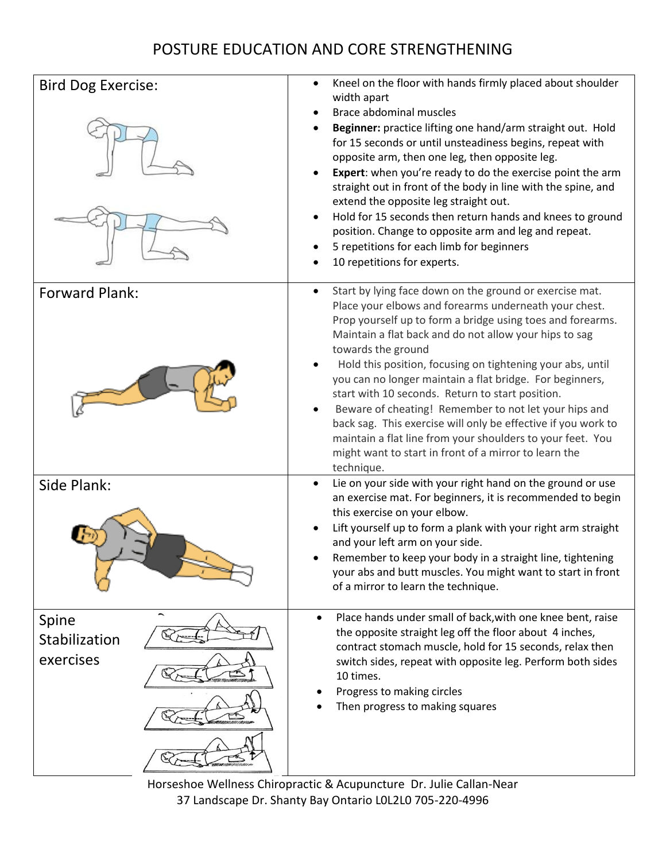## POSTURE EDUCATION AND CORE STRENGTHENING



Horseshoe Wellness Chiropractic & Acupuncture Dr. Julie Callan-Near 37 Landscape Dr. Shanty Bay Ontario L0L2L0 705-220-4996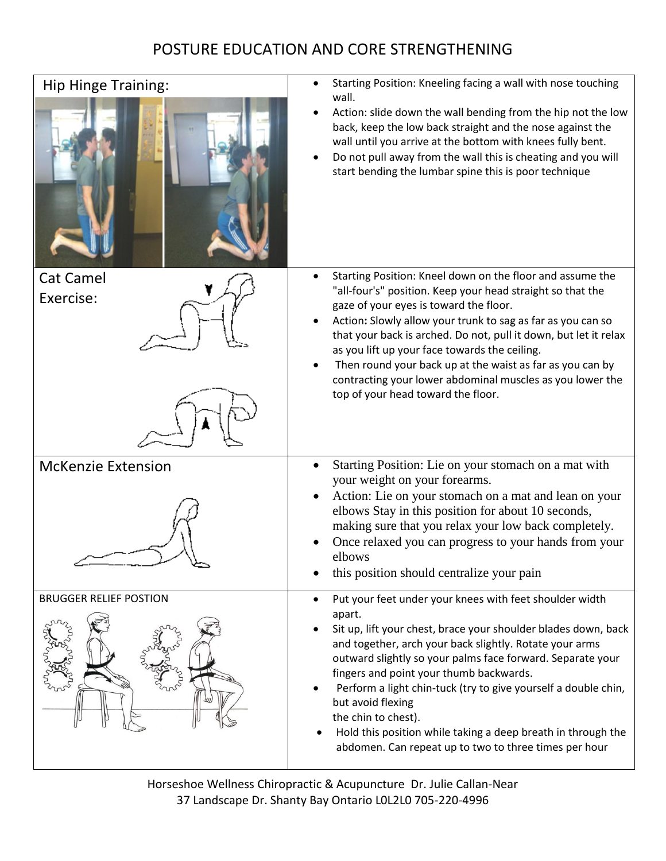## POSTURE EDUCATION AND CORE STRENGTHENING

| <b>Hip Hinge Training:</b>    | Starting Position: Kneeling facing a wall with nose touching<br>wall.<br>Action: slide down the wall bending from the hip not the low<br>back, keep the low back straight and the nose against the<br>wall until you arrive at the bottom with knees fully bent.<br>Do not pull away from the wall this is cheating and you will<br>start bending the lumbar spine this is poor technique                                                                                                                                                           |
|-------------------------------|-----------------------------------------------------------------------------------------------------------------------------------------------------------------------------------------------------------------------------------------------------------------------------------------------------------------------------------------------------------------------------------------------------------------------------------------------------------------------------------------------------------------------------------------------------|
| <b>Cat Camel</b><br>Exercise: | Starting Position: Kneel down on the floor and assume the<br>"all-four's" position. Keep your head straight so that the<br>gaze of your eyes is toward the floor.<br>Action: Slowly allow your trunk to sag as far as you can so<br>that your back is arched. Do not, pull it down, but let it relax<br>as you lift up your face towards the ceiling.<br>Then round your back up at the waist as far as you can by<br>contracting your lower abdominal muscles as you lower the<br>top of your head toward the floor.                               |
| <b>McKenzie Extension</b>     | Starting Position: Lie on your stomach on a mat with<br>your weight on your forearms.<br>Action: Lie on your stomach on a mat and lean on your<br>elbows Stay in this position for about 10 seconds,<br>making sure that you relax your low back completely.<br>Once relaxed you can progress to your hands from your<br>elbows<br>this position should centralize your pain                                                                                                                                                                        |
| <b>BRUGGER RELIEF POSTION</b> | Put your feet under your knees with feet shoulder width<br>٠<br>apart.<br>Sit up, lift your chest, brace your shoulder blades down, back<br>and together, arch your back slightly. Rotate your arms<br>outward slightly so your palms face forward. Separate your<br>fingers and point your thumb backwards.<br>Perform a light chin-tuck (try to give yourself a double chin,<br>but avoid flexing<br>the chin to chest).<br>Hold this position while taking a deep breath in through the<br>abdomen. Can repeat up to two to three times per hour |